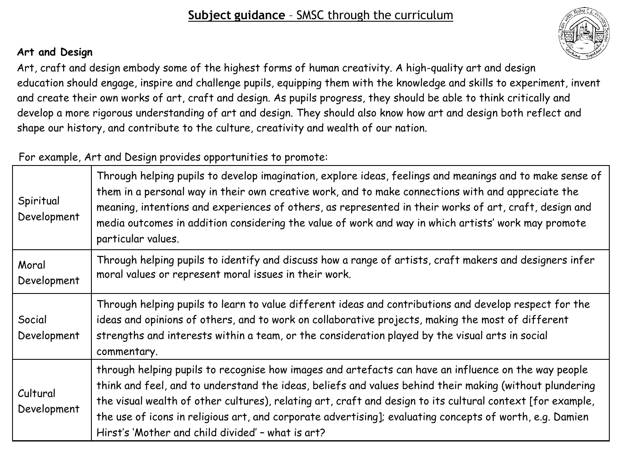## **Art and Design**

Art, craft and design embody some of the highest forms of human creativity. A high-quality art and design education should engage, inspire and challenge pupils, equipping them with the knowledge and skills to experiment, invent and create their own works of art, craft and design. As pupils progress, they should be able to think critically and develop a more rigorous understanding of art and design. They should also know how art and design both reflect and shape our history, and contribute to the culture, creativity and wealth of our nation.

## For example, Art and Design provides opportunities to promote:

| Spiritual<br>Development | Through helping pupils to develop imagination, explore ideas, feelings and meanings and to make sense of<br>them in a personal way in their own creative work, and to make connections with and appreciate the<br>meaning, intentions and experiences of others, as represented in their works of art, craft, design and<br>media outcomes in addition considering the value of work and way in which artists' work may promote<br>particular values.                                          |
|--------------------------|------------------------------------------------------------------------------------------------------------------------------------------------------------------------------------------------------------------------------------------------------------------------------------------------------------------------------------------------------------------------------------------------------------------------------------------------------------------------------------------------|
| Moral<br>Development     | Through helping pupils to identify and discuss how a range of artists, craft makers and designers infer<br>moral values or represent moral issues in their work.                                                                                                                                                                                                                                                                                                                               |
| Social<br>Development    | Through helping pupils to learn to value different ideas and contributions and develop respect for the<br>ideas and opinions of others, and to work on collaborative projects, making the most of different<br>strengths and interests within a team, or the consideration played by the visual arts in social<br>commentary.                                                                                                                                                                  |
| Cultural<br>Development  | through helping pupils to recognise how images and artefacts can have an influence on the way people<br>think and feel, and to understand the ideas, beliefs and values behind their making (without plundering<br>the visual wealth of other cultures), relating art, craft and design to its cultural context [for example,<br>the use of icons in religious art, and corporate advertising]; evaluating concepts of worth, e.g. Damien<br>Hirst's 'Mother and child divided' - what is art? |

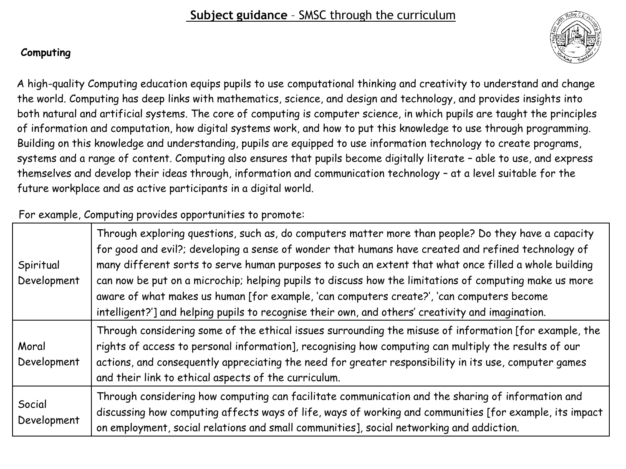## **Computing**

A high-quality Computing education equips pupils to use computational thinking and creativity to understand and change the world. Computing has deep links with mathematics, science, and design and technology, and provides insights into both natural and artificial systems. The core of computing is computer science, in which pupils are taught the principles of information and computation, how digital systems work, and how to put this knowledge to use through programming. Building on this knowledge and understanding, pupils are equipped to use information technology to create programs, systems and a range of content. Computing also ensures that pupils become digitally literate – able to use, and express themselves and develop their ideas through, information and communication technology – at a level suitable for the future workplace and as active participants in a digital world.

## For example, Computing provides opportunities to promote:

| Spiritual<br>Development | Through exploring questions, such as, do computers matter more than people? Do they have a capacity<br>for good and evil?; developing a sense of wonder that humans have created and refined technology of<br>many different sorts to serve human purposes to such an extent that what once filled a whole building<br>can now be put on a microchip; helping pupils to discuss how the limitations of computing make us more<br>aware of what makes us human [for example, 'can computers create?', 'can computers become<br>intelligent?'] and helping pupils to recognise their own, and others' creativity and imagination. |
|--------------------------|---------------------------------------------------------------------------------------------------------------------------------------------------------------------------------------------------------------------------------------------------------------------------------------------------------------------------------------------------------------------------------------------------------------------------------------------------------------------------------------------------------------------------------------------------------------------------------------------------------------------------------|
| Moral<br>Development     | Through considering some of the ethical issues surrounding the misuse of information [for example, the<br>rights of access to personal information], recognising how computing can multiply the results of our<br>actions, and consequently appreciating the need for greater responsibility in its use, computer games<br>and their link to ethical aspects of the curriculum.                                                                                                                                                                                                                                                 |
| Social<br>Development    | Through considering how computing can facilitate communication and the sharing of information and<br>discussing how computing affects ways of life, ways of working and communities [for example, its impact<br>on employment, social relations and small communities], social networking and addiction.                                                                                                                                                                                                                                                                                                                        |

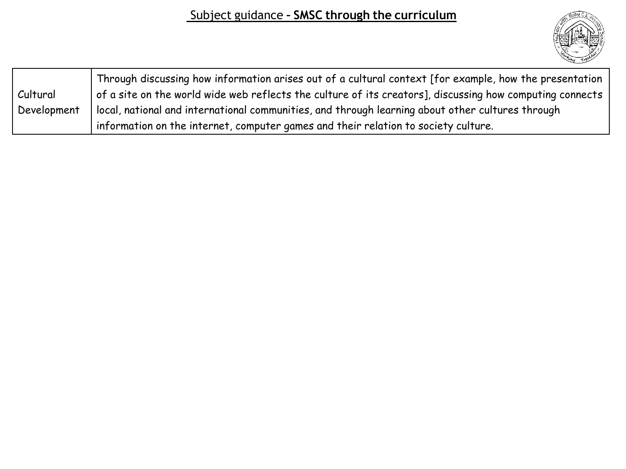

|             | Through discussing how information arises out of a cultural context [for example, how the presentation   |
|-------------|----------------------------------------------------------------------------------------------------------|
| Cultural    | of a site on the world wide web reflects the culture of its creators], discussing how computing connects |
| Development | local, national and international communities, and through learning about other cultures through         |
|             | information on the internet, computer games and their relation to society culture.                       |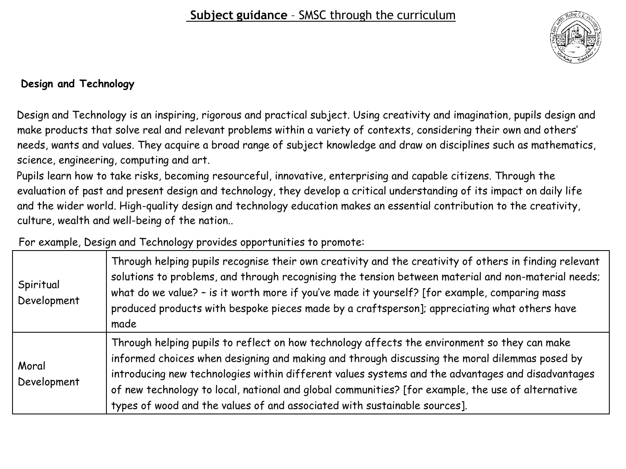

### **Design and Technology**

Design and Technology is an inspiring, rigorous and practical subject. Using creativity and imagination, pupils design and make products that solve real and relevant problems within a variety of contexts, considering their own and others' needs, wants and values. They acquire a broad range of subject knowledge and draw on disciplines such as mathematics, science, engineering, computing and art.

Pupils learn how to take risks, becoming resourceful, innovative, enterprising and capable citizens. Through the evaluation of past and present design and technology, they develop a critical understanding of its impact on daily life and the wider world. High-quality design and technology education makes an essential contribution to the creativity, culture, wealth and well-being of the nation..

For example, Design and Technology provides opportunities to promote:

| Spiritual<br>Development | Through helping pupils recognise their own creativity and the creativity of others in finding relevant<br>solutions to problems, and through recognising the tension between material and non-material needs;<br>what do we value? - is it worth more if you've made it yourself? [for example, comparing mass<br>produced products with bespoke pieces made by a craftsperson]; appreciating what others have<br>made                                                               |
|--------------------------|--------------------------------------------------------------------------------------------------------------------------------------------------------------------------------------------------------------------------------------------------------------------------------------------------------------------------------------------------------------------------------------------------------------------------------------------------------------------------------------|
| Moral<br>Development     | Through helping pupils to reflect on how technology affects the environment so they can make<br>informed choices when designing and making and through discussing the moral dilemmas posed by<br>introducing new technologies within different values systems and the advantages and disadvantages<br>of new technology to local, national and global communities? [for example, the use of alternative<br>types of wood and the values of and associated with sustainable sources]. |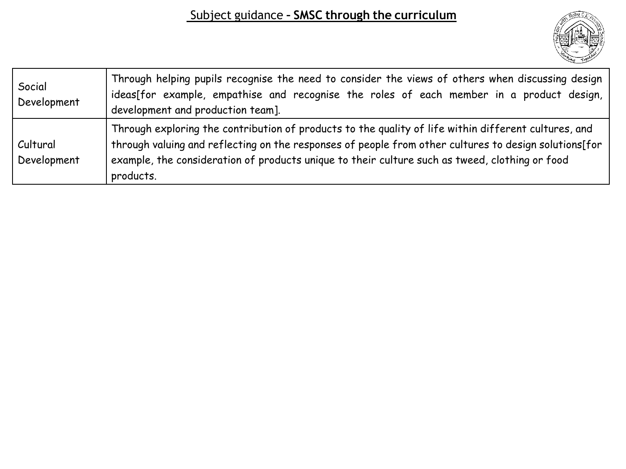

| Social<br>Development   | Through helping pupils recognise the need to consider the views of others when discussing design<br>ideas[for example, empathise and recognise the roles of each member in a product design,<br>development and production team].                                                                                            |
|-------------------------|------------------------------------------------------------------------------------------------------------------------------------------------------------------------------------------------------------------------------------------------------------------------------------------------------------------------------|
| Cultural<br>Development | Through exploring the contribution of products to the quality of life within different cultures, and<br>through valuing and reflecting on the responses of people from other cultures to design solutions[for<br>example, the consideration of products unique to their culture such as tweed, clothing or food<br>products. |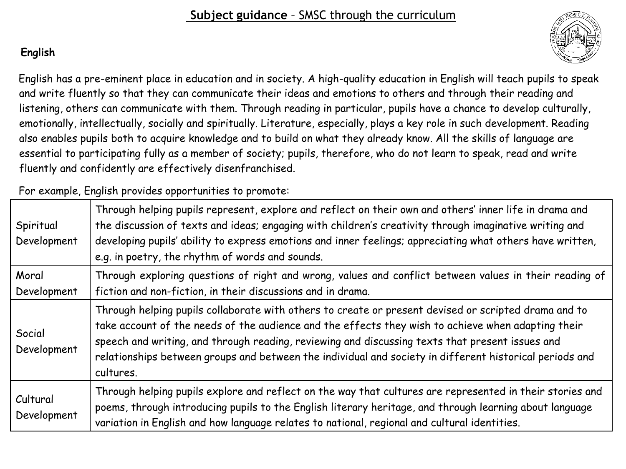## **English**

English has a pre-eminent place in education and in society. A high-quality education in English will teach pupils to speak and write fluently so that they can communicate their ideas and emotions to others and through their reading and listening, others can communicate with them. Through reading in particular, pupils have a chance to develop culturally, emotionally, intellectually, socially and spiritually. Literature, especially, plays a key role in such development. Reading also enables pupils both to acquire knowledge and to build on what they already know. All the skills of language are essential to participating fully as a member of society; pupils, therefore, who do not learn to speak, read and write fluently and confidently are effectively disenfranchised.

For example, English provides opportunities to promote:

| Spiritual<br>Development | Through helping pupils represent, explore and reflect on their own and others' inner life in drama and<br>the discussion of texts and ideas; engaging with children's creativity through imaginative writing and<br>developing pupils' ability to express emotions and inner feelings; appreciating what others have written,<br>e.g. in poetry, the rhythm of words and sounds.                                                      |
|--------------------------|---------------------------------------------------------------------------------------------------------------------------------------------------------------------------------------------------------------------------------------------------------------------------------------------------------------------------------------------------------------------------------------------------------------------------------------|
| Moral<br>Development     | Through exploring questions of right and wrong, values and conflict between values in their reading of<br>fiction and non-fiction, in their discussions and in drama.                                                                                                                                                                                                                                                                 |
| Social<br>Development    | Through helping pupils collaborate with others to create or present devised or scripted drama and to<br>take account of the needs of the audience and the effects they wish to achieve when adapting their<br>speech and writing, and through reading, reviewing and discussing texts that present issues and<br>relationships between groups and between the individual and society in different historical periods and<br>cultures. |
| Cultural<br>Development  | Through helping pupils explore and reflect on the way that cultures are represented in their stories and<br>poems, through introducing pupils to the English literary heritage, and through learning about language<br>variation in English and how language relates to national, regional and cultural identities.                                                                                                                   |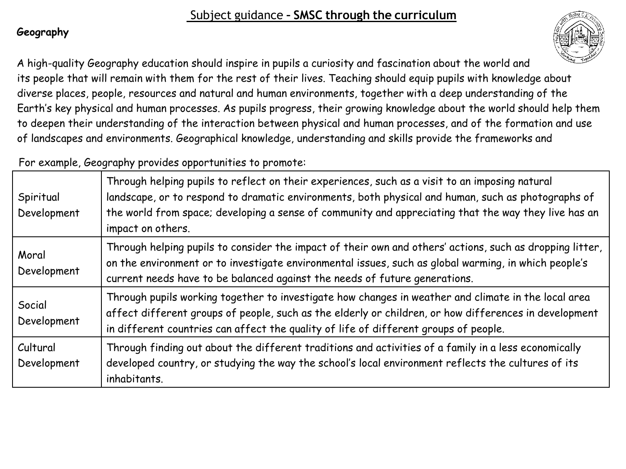## **Geography**

A high-quality Geography education should inspire in pupils a curiosity and fascination about the world and its people that will remain with them for the rest of their lives. Teaching should equip pupils with knowledge about diverse places, people, resources and natural and human environments, together with a deep understanding of the Earth's key physical and human processes. As pupils progress, their growing knowledge about the world should help them to deepen their understanding of the interaction between physical and human processes, and of the formation and use of landscapes and environments. Geographical knowledge, understanding and skills provide the frameworks and

For example, Geography provides opportunities to promote:

| Spiritual<br>Development | Through helping pupils to reflect on their experiences, such as a visit to an imposing natural<br>landscape, or to respond to dramatic environments, both physical and human, such as photographs of<br>the world from space; developing a sense of community and appreciating that the way they live has an<br>impact on others. |
|--------------------------|-----------------------------------------------------------------------------------------------------------------------------------------------------------------------------------------------------------------------------------------------------------------------------------------------------------------------------------|
| Moral<br>Development     | Through helping pupils to consider the impact of their own and others' actions, such as dropping litter,<br>on the environment or to investigate environmental issues, such as global warming, in which people's<br>current needs have to be balanced against the needs of future generations.                                    |
| Social<br>Development    | Through pupils working together to investigate how changes in weather and climate in the local area<br>affect different groups of people, such as the elderly or children, or how differences in development<br>in different countries can affect the quality of life of different groups of people.                              |
| Cultural<br>Development  | Through finding out about the different traditions and activities of a family in a less economically<br>developed country, or studying the way the school's local environment reflects the cultures of its<br>inhabitants.                                                                                                        |

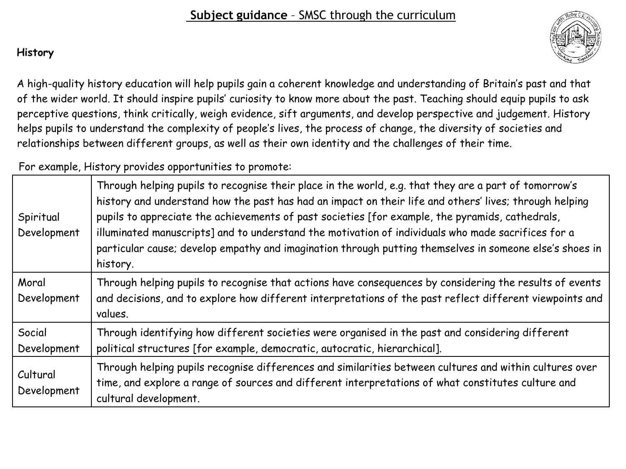## **History**

A high-quality history education will help pupils gain a coherent knowledge and understanding of Britain's past and that of the wider world. It should inspire pupils' curiosity to know more about the past. Teaching should equip pupils to ask perceptive questions, think critically, weigh evidence, sift arguments, and develop perspective and judgement. History helps pupils to understand the complexity of people's lives, the process of change, the diversity of societies and relationships between different groups, as well as their own identity and the challenges of their time.

For example, History provides opportunities to promote:

| Spiritual<br>Development | Through helping pupils to recognise their place in the world, e.g. that they are a part of tomorrow's<br>history and understand how the past has had an impact on their life and others' lives; through helping<br>pupils to appreciate the achievements of past societies [for example, the pyramids, cathedrals,<br>illuminated manuscripts] and to understand the motivation of individuals who made sacrifices for a<br>particular cause; develop empathy and imagination through putting themselves in someone else's shoes in<br>history. |
|--------------------------|-------------------------------------------------------------------------------------------------------------------------------------------------------------------------------------------------------------------------------------------------------------------------------------------------------------------------------------------------------------------------------------------------------------------------------------------------------------------------------------------------------------------------------------------------|
| Moral<br>Development     | Through helping pupils to recognise that actions have consequences by considering the results of events<br>and decisions, and to explore how different interpretations of the past reflect different viewpoints and<br>values.                                                                                                                                                                                                                                                                                                                  |
| Social<br>Development    | Through identifying how different societies were organised in the past and considering different<br>political structures [for example, democratic, autocratic, hierarchical].                                                                                                                                                                                                                                                                                                                                                                   |
| Cultural<br>Development  | Through helping pupils recognise differences and similarities between cultures and within cultures over<br>time, and explore a range of sources and different interpretations of what constitutes culture and<br>cultural development.                                                                                                                                                                                                                                                                                                          |

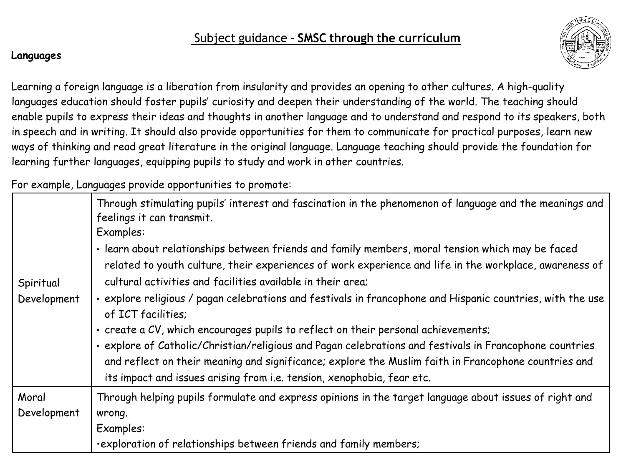

#### **Languages**

Learning a foreign language is a liberation from insularity and provides an opening to other cultures. A high-quality languages education should foster pupils' curiosity and deepen their understanding of the world. The teaching should enable pupils to express their ideas and thoughts in another language and to understand and respond to its speakers, both in speech and in writing. It should also provide opportunities for them to communicate for practical purposes, learn new ways of thinking and read great literature in the original language. Language teaching should provide the foundation for learning further languages, equipping pupils to study and work in other countries.

For example, Languages provide opportunities to promote:

| Spiritual<br>Development | Through stimulating pupils' interest and fascination in the phenomenon of language and the meanings and<br>feelings it can transmit.<br>Examples:<br>· learn about relationships between friends and family members, moral tension which may be faced<br>related to youth culture, their experiences of work experience and life in the workplace, awareness of<br>cultural activities and facilities available in their area;<br>· explore religious / pagan celebrations and festivals in francophone and Hispanic countries, with the use<br>of ICT facilities;<br>. create a CV, which encourages pupils to reflect on their personal achievements; |
|--------------------------|---------------------------------------------------------------------------------------------------------------------------------------------------------------------------------------------------------------------------------------------------------------------------------------------------------------------------------------------------------------------------------------------------------------------------------------------------------------------------------------------------------------------------------------------------------------------------------------------------------------------------------------------------------|
|                          | · explore of Catholic/Christian/religious and Pagan celebrations and festivals in Francophone countries<br>and reflect on their meaning and significance; explore the Muslim faith in Francophone countries and<br>its impact and issues arising from i.e. tension, xenophobia, fear etc.                                                                                                                                                                                                                                                                                                                                                               |
| Moral                    | Through helping pupils formulate and express opinions in the target language about issues of right and                                                                                                                                                                                                                                                                                                                                                                                                                                                                                                                                                  |
| Development              | wrong.                                                                                                                                                                                                                                                                                                                                                                                                                                                                                                                                                                                                                                                  |
|                          | Examples:                                                                                                                                                                                                                                                                                                                                                                                                                                                                                                                                                                                                                                               |
|                          | ·exploration of relationships between friends and family members;                                                                                                                                                                                                                                                                                                                                                                                                                                                                                                                                                                                       |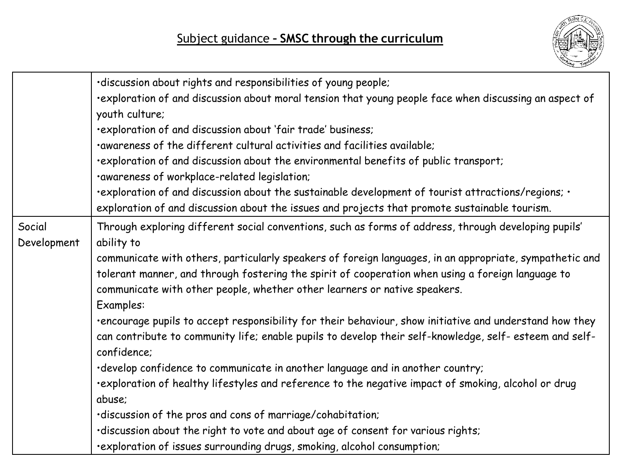

|             | ·discussion about rights and responsibilities of young people;                                                                                                                                     |
|-------------|----------------------------------------------------------------------------------------------------------------------------------------------------------------------------------------------------|
|             | exploration of and discussion about moral tension that young people face when discussing an aspect of                                                                                              |
|             | youth culture;                                                                                                                                                                                     |
|             | ·exploration of and discussion about 'fair trade' business;                                                                                                                                        |
|             | .awareness of the different cultural activities and facilities available;                                                                                                                          |
|             | ·exploration of and discussion about the environmental benefits of public transport;                                                                                                               |
|             | ·awareness of workplace-related legislation;                                                                                                                                                       |
|             | • exploration of and discussion about the sustainable development of tourist attractions/regions;<br>exploration of and discussion about the issues and projects that promote sustainable tourism. |
| Social      | Through exploring different social conventions, such as forms of address, through developing pupils'                                                                                               |
| Development | ability to                                                                                                                                                                                         |
|             | communicate with others, particularly speakers of foreign languages, in an appropriate, sympathetic and                                                                                            |
|             | tolerant manner, and through fostering the spirit of cooperation when using a foreign language to                                                                                                  |
|             | communicate with other people, whether other learners or native speakers.                                                                                                                          |
|             | Examples:                                                                                                                                                                                          |
|             | ·encourage pupils to accept responsibility for their behaviour, show initiative and understand how they                                                                                            |
|             | can contribute to community life; enable pupils to develop their self-knowledge, self- esteem and self-                                                                                            |
|             | confidence;                                                                                                                                                                                        |
|             | ·develop confidence to communicate in another language and in another country;                                                                                                                     |
|             | ·exploration of healthy lifestyles and reference to the negative impact of smoking, alcohol or drug                                                                                                |
|             | abuse;                                                                                                                                                                                             |
|             | ·discussion of the pros and cons of marriage/cohabitation;                                                                                                                                         |
|             | ·discussion about the right to vote and about age of consent for various rights;                                                                                                                   |
|             | ·exploration of issues surrounding drugs, smoking, alcohol consumption;                                                                                                                            |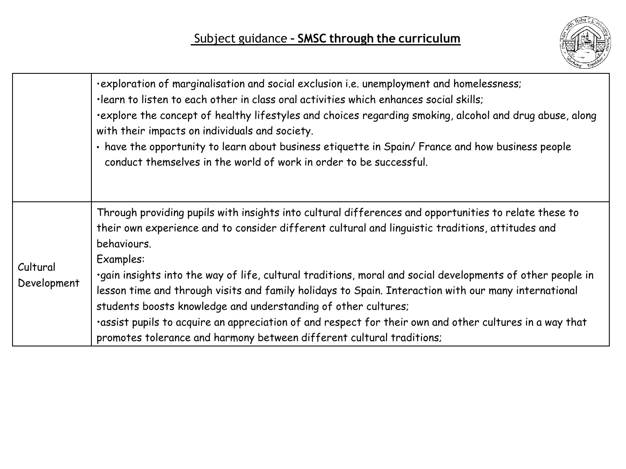

|                         | ·exploration of marginalisation and social exclusion i.e. unemployment and homelessness;<br>·learn to listen to each other in class oral activities which enhances social skills;<br>explore the concept of healthy lifestyles and choices regarding smoking, alcohol and drug abuse, along<br>with their impacts on individuals and society.<br>· have the opportunity to learn about business etiquette in Spain/ France and how business people<br>conduct themselves in the world of work in order to be successful. |
|-------------------------|--------------------------------------------------------------------------------------------------------------------------------------------------------------------------------------------------------------------------------------------------------------------------------------------------------------------------------------------------------------------------------------------------------------------------------------------------------------------------------------------------------------------------|
| Cultural<br>Development | Through providing pupils with insights into cultural differences and opportunities to relate these to<br>their own experience and to consider different cultural and linguistic traditions, attitudes and<br>behaviours.<br>Examples:                                                                                                                                                                                                                                                                                    |
|                         | ·gain insights into the way of life, cultural traditions, moral and social developments of other people in<br>lesson time and through visits and family holidays to Spain. Interaction with our many international<br>students boosts knowledge and understanding of other cultures;                                                                                                                                                                                                                                     |
|                         | ·assist pupils to acquire an appreciation of and respect for their own and other cultures in a way that<br>promotes tolerance and harmony between different cultural traditions;                                                                                                                                                                                                                                                                                                                                         |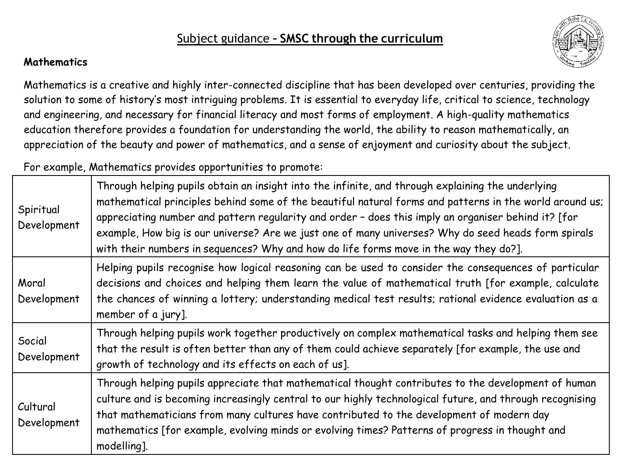### **Mathematics**

Mathematics is a creative and highly inter-connected discipline that has been developed over centuries, providing the solution to some of history's most intriguing problems. It is essential to everyday life, critical to science, technology and engineering, and necessary for financial literacy and most forms of employment. A high-quality mathematics education therefore provides a foundation for understanding the world, the ability to reason mathematically, an appreciation of the beauty and power of mathematics, and a sense of enjoyment and curiosity about the subject.

For example, Mathematics provides opportunities to promote:

| Spiritual<br>Development | Through helping pupils obtain an insight into the infinite, and through explaining the underlying<br>mathematical principles behind some of the beautiful natural forms and patterns in the world around us;<br>appreciating number and pattern regularity and order - does this imply an organiser behind it? [for<br>example, How big is our universe? Are we just one of many universes? Why do seed heads form spirals<br>with their numbers in sequences? Why and how do life forms move in the way they do?]. |
|--------------------------|---------------------------------------------------------------------------------------------------------------------------------------------------------------------------------------------------------------------------------------------------------------------------------------------------------------------------------------------------------------------------------------------------------------------------------------------------------------------------------------------------------------------|
| Moral<br>Development     | Helping pupils recognise how logical reasoning can be used to consider the consequences of particular<br>decisions and choices and helping them learn the value of mathematical truth [for example, calculate<br>the chances of winning a lottery; understanding medical test results; rational evidence evaluation as a<br>member of a jury].                                                                                                                                                                      |
| Social<br>Development    | Through helping pupils work together productively on complex mathematical tasks and helping them see<br>that the result is often better than any of them could achieve separately [for example, the use and<br>growth of technology and its effects on each of us].                                                                                                                                                                                                                                                 |
| Cultural<br>Development  | Through helping pupils appreciate that mathematical thought contributes to the development of human<br>culture and is becoming increasingly central to our highly technological future, and through recognising<br>that mathematicians from many cultures have contributed to the development of modern day<br>mathematics [for example, evolving minds or evolving times? Patterns of progress in thought and<br>modelling].                                                                                       |

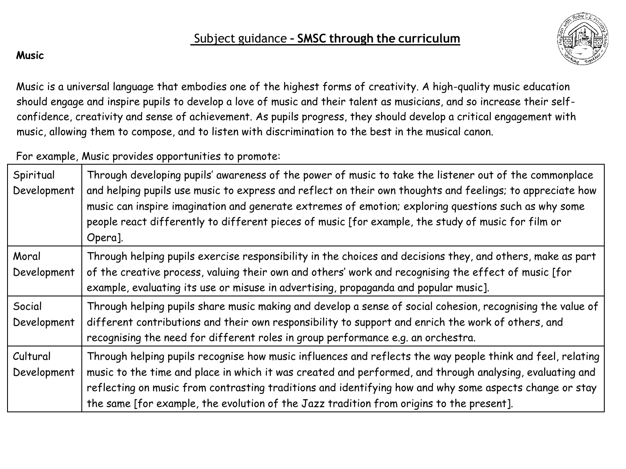

### **Music**

Music is a universal language that embodies one of the highest forms of creativity. A high-quality music education should engage and inspire pupils to develop a love of music and their talent as musicians, and so increase their selfconfidence, creativity and sense of achievement. As pupils progress, they should develop a critical engagement with music, allowing them to compose, and to listen with discrimination to the best in the musical canon.

For example, Music provides opportunities to promote:

| Spiritual<br>Development | Through developing pupils' awareness of the power of music to take the listener out of the commonplace<br>and helping pupils use music to express and reflect on their own thoughts and feelings; to appreciate how<br>music can inspire imagination and generate extremes of emotion; exploring questions such as why some<br>people react differently to different pieces of music [for example, the study of music for film or<br>Opera]. |
|--------------------------|----------------------------------------------------------------------------------------------------------------------------------------------------------------------------------------------------------------------------------------------------------------------------------------------------------------------------------------------------------------------------------------------------------------------------------------------|
| Moral<br>Development     | Through helping pupils exercise responsibility in the choices and decisions they, and others, make as part<br>of the creative process, valuing their own and others' work and recognising the effect of music [for<br>example, evaluating its use or misuse in advertising, propaganda and popular music].                                                                                                                                   |
| Social<br>Development    | Through helping pupils share music making and develop a sense of social cohesion, recognising the value of<br>different contributions and their own responsibility to support and enrich the work of others, and<br>recognising the need for different roles in group performance e.g. an orchestra.                                                                                                                                         |
| Cultural<br>Development  | Through helping pupils recognise how music influences and reflects the way people think and feel, relating<br>music to the time and place in which it was created and performed, and through analysing, evaluating and<br>reflecting on music from contrasting traditions and identifying how and why some aspects change or stay<br>the same [for example, the evolution of the Jazz tradition from origins to the present].                |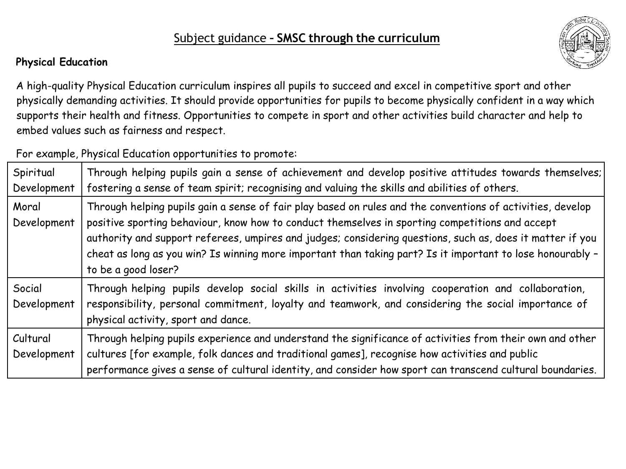## **Physical Education**



A high-quality Physical Education curriculum inspires all pupils to succeed and excel in competitive sport and other physically demanding activities. It should provide opportunities for pupils to become physically confident in a way which supports their health and fitness. Opportunities to compete in sport and other activities build character and help to embed values such as fairness and respect.

For example, Physical Education opportunities to promote:

| Spiritual<br>Development | Through helping pupils gain a sense of achievement and develop positive attitudes towards themselves;<br>fostering a sense of team spirit; recognising and valuing the skills and abilities of others.                                                                                                                                                                                                                                                          |
|--------------------------|-----------------------------------------------------------------------------------------------------------------------------------------------------------------------------------------------------------------------------------------------------------------------------------------------------------------------------------------------------------------------------------------------------------------------------------------------------------------|
| Moral<br>Development     | Through helping pupils gain a sense of fair play based on rules and the conventions of activities, develop<br>positive sporting behaviour, know how to conduct themselves in sporting competitions and accept<br>authority and support referees, umpires and judges; considering questions, such as, does it matter if you<br>cheat as long as you win? Is winning more important than taking part? Is it important to lose honourably -<br>to be a good loser? |
| Social<br>Development    | Through helping pupils develop social skills in activities involving cooperation and collaboration,<br>responsibility, personal commitment, loyalty and teamwork, and considering the social importance of<br>physical activity, sport and dance.                                                                                                                                                                                                               |
| Cultural<br>Development  | Through helping pupils experience and understand the significance of activities from their own and other<br>cultures [for example, folk dances and traditional games], recognise how activities and public<br>performance gives a sense of cultural identity, and consider how sport can transcend cultural boundaries.                                                                                                                                         |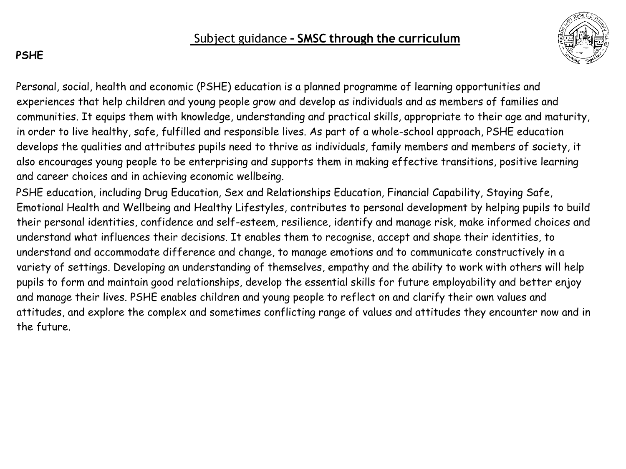

## **PSHE**

Personal, social, health and economic (PSHE) education is a planned programme of learning opportunities and experiences that help children and young people grow and develop as individuals and as members of families and communities. It equips them with knowledge, understanding and practical skills, appropriate to their age and maturity, in order to live healthy, safe, fulfilled and responsible lives. As part of a whole-school approach, PSHE education develops the qualities and attributes pupils need to thrive as individuals, family members and members of society, it also encourages young people to be enterprising and supports them in making effective transitions, positive learning and career choices and in achieving economic wellbeing.

PSHE education, including Drug Education, Sex and Relationships Education, Financial Capability, Staying Safe, Emotional Health and Wellbeing and Healthy Lifestyles, contributes to personal development by helping pupils to build their personal identities, confidence and self-esteem, resilience, identify and manage risk, make informed choices and understand what influences their decisions. It enables them to recognise, accept and shape their identities, to understand and accommodate difference and change, to manage emotions and to communicate constructively in a variety of settings. Developing an understanding of themselves, empathy and the ability to work with others will help pupils to form and maintain good relationships, develop the essential skills for future employability and better enjoy and manage their lives. PSHE enables children and young people to reflect on and clarify their own values and attitudes, and explore the complex and sometimes conflicting range of values and attitudes they encounter now and in the future.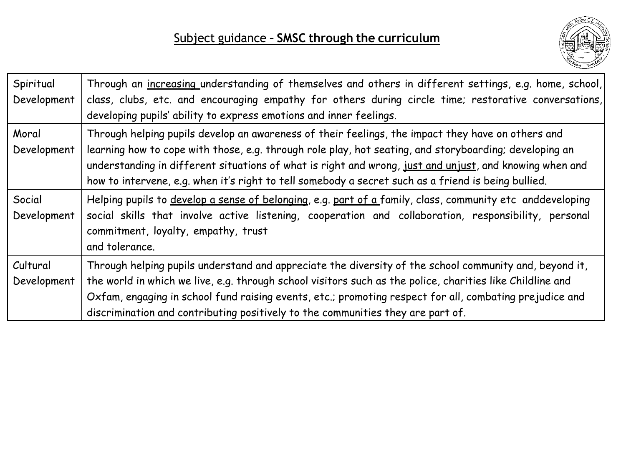

| Spiritual<br>Development | Through an increasing understanding of themselves and others in different settings, e.g. home, school,<br>class, clubs, etc. and encouraging empathy for others during circle time; restorative conversations,<br>developing pupils' ability to express emotions and inner feelings.                                                                                                                                          |
|--------------------------|-------------------------------------------------------------------------------------------------------------------------------------------------------------------------------------------------------------------------------------------------------------------------------------------------------------------------------------------------------------------------------------------------------------------------------|
| Moral<br>Development     | Through helping pupils develop an awareness of their feelings, the impact they have on others and<br>learning how to cope with those, e.g. through role play, hot seating, and storyboarding; developing an<br>understanding in different situations of what is right and wrong, just and unjust, and knowing when and<br>how to intervene, e.g. when it's right to tell somebody a secret such as a friend is being bullied. |
| Social<br>Development    | Helping pupils to develop a sense of belonging, e.g. part of a family, class, community etc anddeveloping<br>social skills that involve active listening, cooperation and collaboration, responsibility, personal<br>commitment, loyalty, empathy, trust<br>and tolerance.                                                                                                                                                    |
| Cultural<br>Development  | Through helping pupils understand and appreciate the diversity of the school community and, beyond it,<br>the world in which we live, e.g. through school visitors such as the police, charities like Childline and<br>Oxfam, engaging in school fund raising events, etc.; promoting respect for all, combating prejudice and<br>discrimination and contributing positively to the communities they are part of.             |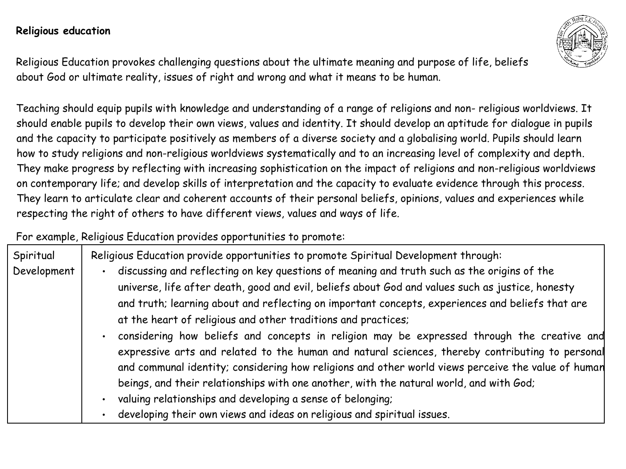### **Religious education**

Religious Education provokes challenging questions about the ultimate meaning and purpose of life, beliefs about God or ultimate reality, issues of right and wrong and what it means to be human.

Teaching should equip pupils with knowledge and understanding of a range of religions and non- religious worldviews. It should enable pupils to develop their own views, values and identity. It should develop an aptitude for dialogue in pupils and the capacity to participate positively as members of a diverse society and a globalising world. Pupils should learn how to study religions and non-religious worldviews systematically and to an increasing level of complexity and depth. They make progress by reflecting with increasing sophistication on the impact of religions and non-religious worldviews on contemporary life; and develop skills of interpretation and the capacity to evaluate evidence through this process. They learn to articulate clear and coherent accounts of their personal beliefs, opinions, values and experiences while respecting the right of others to have different views, values and ways of life.

For example, Religious Education provides opportunities to promote:

| Spiritual   | Religious Education provide opportunities to promote Spiritual Development through:                                                                                                            |
|-------------|------------------------------------------------------------------------------------------------------------------------------------------------------------------------------------------------|
| Development | discussing and reflecting on key questions of meaning and truth such as the origins of the<br>universe, life after death, good and evil, beliefs about God and values such as justice, honesty |
|             | and truth; learning about and reflecting on important concepts, experiences and beliefs that are                                                                                               |
|             | at the heart of religious and other traditions and practices;                                                                                                                                  |
|             | considering how beliefs and concepts in religion may be expressed through the creative and<br>expressive arts and related to the human and natural sciences, thereby contributing to personal  |
|             | and communal identity; considering how religions and other world views perceive the value of human                                                                                             |
|             | beings, and their relationships with one another, with the natural world, and with God;                                                                                                        |
|             | valuing relationships and developing a sense of belonging;                                                                                                                                     |
|             | developing their own views and ideas on religious and spiritual issues.                                                                                                                        |

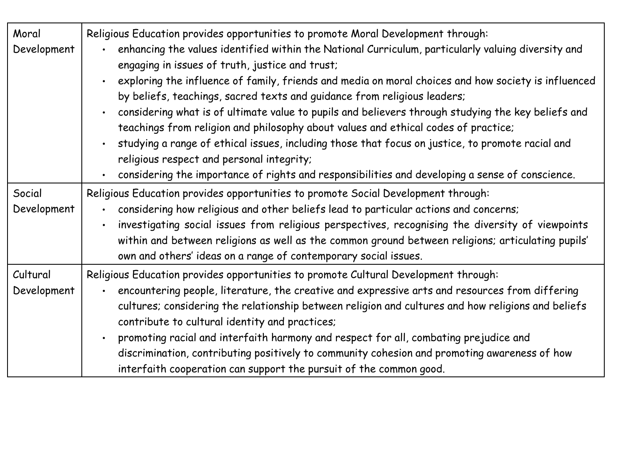| Moral<br>Development    | Religious Education provides opportunities to promote Moral Development through:<br>enhancing the values identified within the National Curriculum, particularly valuing diversity and<br>engaging in issues of truth, justice and trust;<br>exploring the influence of family, friends and media on moral choices and how society is influenced<br>by beliefs, teachings, sacred texts and guidance from religious leaders;<br>considering what is of ultimate value to pupils and believers through studying the key beliefs and<br>teachings from religion and philosophy about values and ethical codes of practice;<br>studying a range of ethical issues, including those that focus on justice, to promote racial and<br>religious respect and personal integrity; |
|-------------------------|---------------------------------------------------------------------------------------------------------------------------------------------------------------------------------------------------------------------------------------------------------------------------------------------------------------------------------------------------------------------------------------------------------------------------------------------------------------------------------------------------------------------------------------------------------------------------------------------------------------------------------------------------------------------------------------------------------------------------------------------------------------------------|
|                         | considering the importance of rights and responsibilities and developing a sense of conscience.<br>$\bullet$                                                                                                                                                                                                                                                                                                                                                                                                                                                                                                                                                                                                                                                              |
| Social<br>Development   | Religious Education provides opportunities to promote Social Development through:<br>considering how religious and other beliefs lead to particular actions and concerns;<br>investigating social issues from religious perspectives, recognising the diversity of viewpoints<br>within and between religions as well as the common ground between religions; articulating pupils'<br>own and others' ideas on a range of contemporary social issues.                                                                                                                                                                                                                                                                                                                     |
| Cultural<br>Development | Religious Education provides opportunities to promote Cultural Development through:<br>encountering people, literature, the creative and expressive arts and resources from differing<br>cultures; considering the relationship between religion and cultures and how religions and beliefs<br>contribute to cultural identity and practices;<br>promoting racial and interfaith harmony and respect for all, combating prejudice and<br>discrimination, contributing positively to community cohesion and promoting awareness of how<br>interfaith cooperation can support the pursuit of the common good.                                                                                                                                                               |